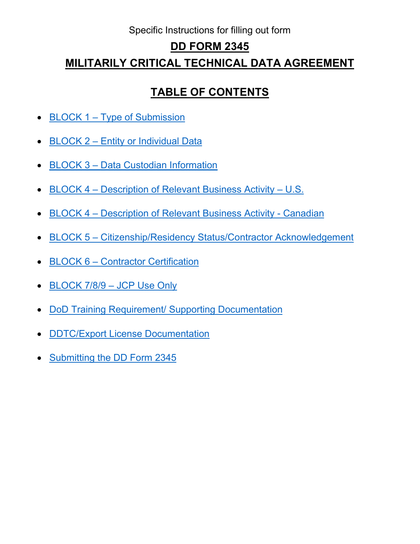# Specific Instructions for filling out form

# **DD FORM 2345**

# **MILITARILY CRITICAL TECHNICAL DATA AGREEMENT**

# **TABLE OF CONTENTS**

- <span id="page-0-0"></span>• BLOCK 1 – [Type of Submission](#page-1-0)
- BLOCK 2 [Entity or Individual Data](#page-2-0)
- BLOCK 3 [Data Custodian Information](#page-3-0)
- BLOCK 4 [Description of Relevant Business Activity](#page-4-0) U.S.
- BLOCK 4 [Description of Relevant Business Activity -](#page-6-0) Canadian
- BLOCK 5 [Citizenship/Residency Status/Contractor Acknowledgement](#page-8-0)
- BLOCK 6 [Contractor Certification](#page-9-0)
- BLOCK 7/8/9 JCP Use Only
- [DoD Training Requirement/ Supporting Documentation](#page-10-0)
- [DDTC/Export License Documentation](#page-11-0)
- Submitting the [DD Form 2345](#page-11-1)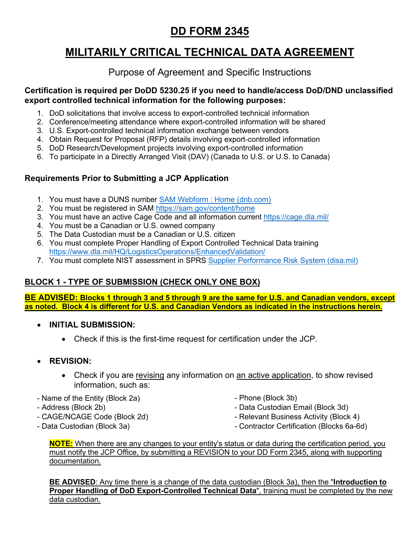# **DD FORM 2345**

# **MILITARILY CRITICAL TECHNICAL DATA AGREEMENT**

# Purpose of Agreement and Specific Instructions

#### **Certification is required per DoDD 5230.25 if you need to handle/access DoD/DND unclassified export controlled technical information for the following purposes:**

- 1. DoD solicitations that involve access to export-controlled technical information
- 2. Conference/meeting attendance where export-controlled information will be shared
- 3. U.S. Export-controlled technical information exchange between vendors
- 4. Obtain Request for Proposal (RFP) details involving export-controlled information
- 5. DoD Research/Development projects involving export-controlled information
- 6. To participate in a Directly Arranged Visit (DAV) (Canada to U.S. or U.S. to Canada)

# **Requirements Prior to Submitting a JCP Application**

- 1. You must have a DUNS number **SAM Webform : [Home \(dnb.com\)](https://fedgov.dnb.com/webform/)**
- 2. You must be registered in SAM<https://sam.gov/content/home>
- 3. You must have an active Cage Code and all information current<https://cage.dla.mil/>
- 4. You must be a Canadian or U.S. owned company
- 5. The Data Custodian must be a Canadian or U.S. citizen
- 6. You must complete Proper Handling of Export Controlled Technical Data training <https://www.dla.mil/HQ/LogisticsOperations/EnhancedValidation/>
- 7. You must complete NIST assessment in SPRS [Supplier Performance Risk System \(disa.mil\)](https://www.sprs.csd.disa.mil/)

# <span id="page-1-0"></span>**BLOCK 1 - TYPE OF SUBMISSION (CHECK ONLY ONE BOX)**

**BE ADVISED: Blocks 1 through 3 and 5 through 9 are the same for U.S. and Canadian vendors, except as noted. Block 4 is different for U.S. and Canadian Vendors as indicated in the instructions herein.** 

- **INITIAL SUBMISSION:**
	- Check if this is the first-time request for certification under the JCP.
- **REVISION:**
	- Check if you are revising any information on an active application, to show revised information, such as:
- Name of the Entity (Block 2a)
- Address (Block 2b)
- CAGE/NCAGE Code (Block 2d)
- Data Custodian (Block 3a)
- Phone (Block 3b)
- Data Custodian Email (Block 3d)
- Relevant Business Activity (Block 4)
- Contractor Certification (Blocks 6a-6d)

**NOTE:** When there are any changes to your entity's status or data during the certification period, you must notify the JCP Office, by submitting a REVISION to your DD Form 2345, along with supporting documentation.

**BE ADVISED**: Any time there is a change of the data custodian (Block 3a), then the "**Introduction to Proper Handling of DoD Export-Controlled Technical Data**", training must be completed by the new data custodian.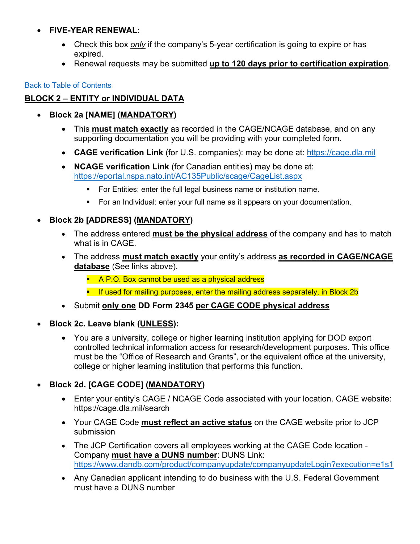## • **FIVE-YEAR RENEWAL:**

- Check this box *only* if the company's 5-year certification is going to expire or has expired.
- Renewal requests may be submitted **up to 120 days prior to certification expiration**.

### [Back to Table of Contents](#page-0-0)

# <span id="page-2-0"></span>**BLOCK 2 – ENTITY or INDIVIDUAL DATA**

- **Block 2a [NAME] (MANDATORY)** 
	- This **must match exactly** as recorded in the CAGE/NCAGE database, and on any supporting documentation you will be providing with your completed form.
	- **CAGE verification Link** (for U.S. companies): may be done at: [https://cage.dla.mil](https://cage.dla.mil/)
	- **NCAGE verification Link** (for Canadian entities) may be done at: <https://eportal.nspa.nato.int/AC135Public/scage/CageList.aspx>
		- For Entities: enter the full legal business name or institution name.
		- For an Individual: enter your full name as it appears on your documentation.

# • **Block 2b [ADDRESS] (MANDATORY)**

- The address entered **must be the physical address** of the company and has to match what is in CAGE.
- The address **must match exactly** your entity's address **as recorded in CAGE/NCAGE database** (See links above).
	- **A P.O. Box cannot be used as a physical address**
	- **If used for mailing purposes, enter the mailing address separately, in Block 2b**
- Submit **only one DD Form 2345 per CAGE CODE physical address**
- **Block 2c. Leave blank (UNLESS):**
	- You are a university, college or higher learning institution applying for DOD export controlled technical information access for research/development purposes. This office must be the "Office of Research and Grants", or the equivalent office at the university, college or higher learning institution that performs this function.

# • **Block 2d. [CAGE CODE] (MANDATORY)**

- Enter your entity's CAGE / NCAGE Code associated with your location. CAGE website: https://cage.dla.mil/search
- Your CAGE Code **must reflect an active status** on the CAGE website prior to JCP submission
- The JCP Certification covers all employees working at the CAGE Code location Company **must have a DUNS number**: DUNS Link: <https://www.dandb.com/product/companyupdate/companyupdateLogin?execution=e1s1>
- Any Canadian applicant intending to do business with the U.S. Federal Government must have a DUNS number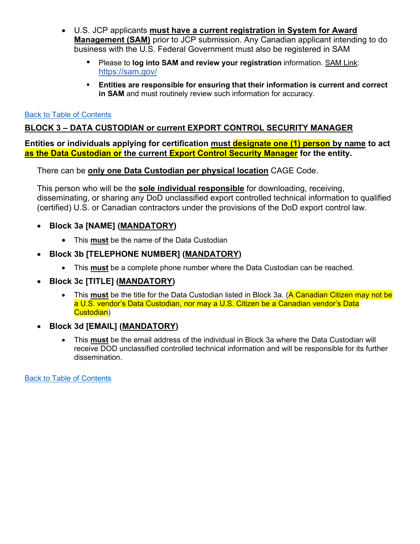- U.S. JCP applicants **must have a current registration in System for Award Management (SAM)** prior to JCP submission. Any Canadian applicant intending to do business with the U.S. Federal Government must also be registered in SAM
	- Please to **log into SAM and review your registration** information. SAM Link: <https://sam.gov/>
	- **Entities are responsible for ensuring that their information is current and correct in SAM** and must routinely review such information for accuracy.

#### [Back to Table of Contents](#page-0-0)

## <span id="page-3-0"></span>**BLOCK 3 – DATA CUSTODIAN or current EXPORT CONTROL SECURITY MANAGER**

**Entities or individuals applying for certification must designate one (1) person by name to act as the Data Custodian or the current Export Control Security Manager for the entity.**

There can be **only one Data Custodian per physical location** CAGE Code.

This person who will be the **sole individual responsible** for downloading, receiving, disseminating, or sharing any DoD unclassified export controlled technical information to qualified (certified) U.S. or Canadian contractors under the provisions of the DoD export control law.

- **Block 3a [NAME] (MANDATORY)** 
	- This **must** be the name of the Data Custodian
- **Block 3b [TELEPHONE NUMBER] (MANDATORY)** 
	- This **must** be a complete phone number where the Data Custodian can be reached.
- **Block 3c [TITLE] (MANDATORY)** 
	- This must be the title for the Data Custodian listed in Block 3a. (**A Canadian Citizen may not be** a U.S. vendor's Data Custodian, nor may a U.S. Citizen be a Canadian vendor's Data Custodian)
- **Block 3d [EMAIL] (MANDATORY)** 
	- This **must** be the email address of the individual in Block 3a where the Data Custodian will receive DOD unclassified controlled technical information and will be responsible for its further dissemination.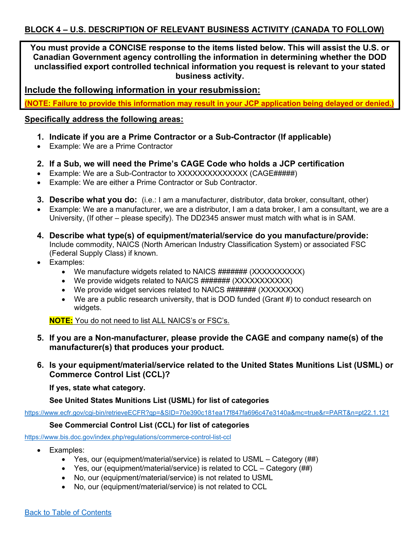<span id="page-4-0"></span>**You must provide a CONCISE response to the items listed below. This will assist the U.S. or Canadian Government agency controlling the information in determining whether the DOD unclassified export controlled technical information you request is relevant to your stated business activity.**

**Include the following information in your resubmission:** 

**(NOTE: Failure to provide this information may result in your JCP application being delayed or denied.)** 

#### **Specifically address the following areas:**

- **1. Indicate if you are a Prime Contractor or a Sub-Contractor (If applicable)**
- Example: We are a Prime Contractor
- **2. If a Sub, we will need the Prime's CAGE Code who holds a JCP certification**
- Example: We are a Sub-Contractor to XXXXXXXXXXXXXX (CAGE#####)
- Example: We are either a Prime Contractor or Sub Contractor.
- **3. Describe what you do:** (i.e.: I am a manufacturer, distributor, data broker, consultant, other)
- Example: We are a manufacturer, we are a distributor, I am a data broker, I am a consultant, we are a University, (If other – please specify). The DD2345 answer must match with what is in SAM.
- **4. Describe what type(s) of equipment/material/service do you manufacture/provide:**  Include commodity, NAICS (North American Industry Classification System) or associated FSC (Federal Supply Class) if known.
- Examples:
	- We manufacture widgets related to NAICS ####### (XXXXXXXXXX)
	- We provide widgets related to NAICS ####### (XXXXXXXXXXX)
	- We provide widget services related to NAICS ####### (XXXXXXXX)
	- We are a public research university, that is DOD funded (Grant #) to conduct research on widgets.

**NOTE:** You do not need to list ALL NAICS's or FSC's.

- **5. If you are a Non-manufacturer, please provide the CAGE and company name(s) of the manufacturer(s) that produces your product.**
- **6. Is your equipment/material/service related to the United States Munitions List (USML) or Commerce Control List (CCL)?**

**If yes, state what category.**

**See United States Munitions List (USML) for list of categories**

<https://www.ecfr.gov/cgi-bin/retrieveECFR?gp=&SID=70e390c181ea17f847fa696c47e3140a&mc=true&r=PART&n=pt22.1.121>

#### **See Commercial Control List (CCL) for list of categories**

<https://www.bis.doc.gov/index.php/regulations/commerce-control-list-ccl>

- Examples:
	- Yes, our (equipment/material/service) is related to USML Category (##)
	- Yes, our (equipment/material/service) is related to CCL Category (##)
	- No, our (equipment/material/service) is not related to USML
	- No, our (equipment/material/service) is not related to CCL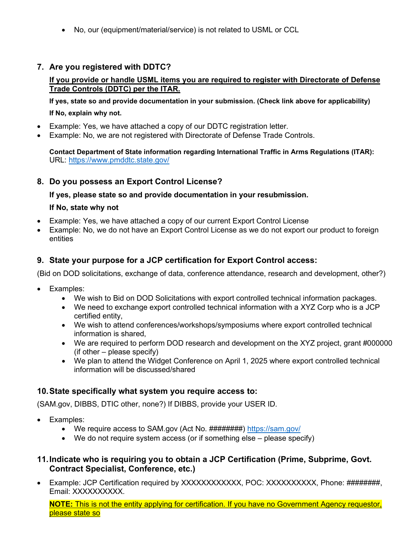• No, our (equipment/material/service) is not related to USML or CCL

### **7. Are you registered with DDTC?**

#### **If you provide or handle USML items you are required to register with Directorate of Defense Trade Controls (DDTC) per the ITAR.**

**If yes, state so and provide documentation in your submission. (Check link above for applicability) If No, explain why not.**

- Example: Yes, we have attached a copy of our DDTC registration letter.
- Example: No, we are not registered with Directorate of Defense Trade Controls.

**Contact Department of State information regarding International Traffic in Arms Regulations (ITAR):** URL:<https://www.pmddtc.state.gov/>

#### **8. Do you possess an Export Control License?**

**If yes, please state so and provide documentation in your resubmission.** 

#### **If No, state why not**

- Example: Yes, we have attached a copy of our current Export Control License
- Example: No, we do not have an Export Control License as we do not export our product to foreign entities

### **9. State your purpose for a JCP certification for Export Control access:**

(Bid on DOD solicitations, exchange of data, conference attendance, research and development, other?)

- Examples:
	- We wish to Bid on DOD Solicitations with export controlled technical information packages.
	- We need to exchange export controlled technical information with a XYZ Corp who is a JCP certified entity,
	- We wish to attend conferences/workshops/symposiums where export controlled technical information is shared,
	- We are required to perform DOD research and development on the XYZ project, grant #000000 (if other – please specify)
	- We plan to attend the Widget Conference on April 1, 2025 where export controlled technical information will be discussed/shared

### **10.State specifically what system you require access to:**

(SAM.gov, DIBBS, DTIC other, none?) If DIBBS, provide your USER ID.

- Examples:
	- We require access to SAM.gov (Act No. ########)<https://sam.gov/>
	- We do not require system access (or if something else please specify)

#### **11.Indicate who is requiring you to obtain a JCP Certification (Prime, Subprime, Govt. Contract Specialist, Conference, etc.)**

• Example: JCP Certification required by XXXXXXXXXXX, POC: XXXXXXXXXX, Phone: #########, Email: XXXXXXXXXX.

**NOTE:** This is not the entity applying for certification. If you have no Government Agency requestor, please state so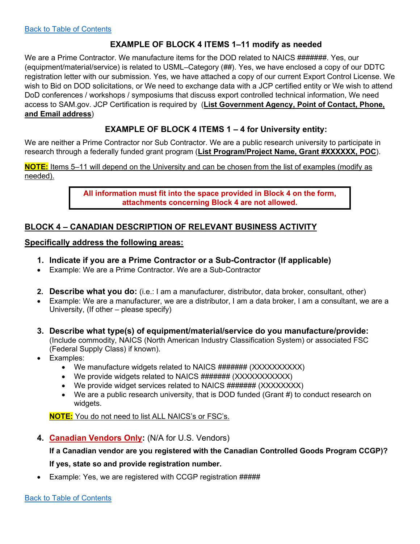### **EXAMPLE OF BLOCK 4 ITEMS 1–11 modify as needed**

We are a Prime Contractor. We manufacture items for the DOD related to NAICS #######. Yes, our (equipment/material/service) is related to USML–Category (##). Yes, we have enclosed a copy of our DDTC registration letter with our submission. Yes, we have attached a copy of our current Export Control License. We wish to Bid on DOD solicitations, or We need to exchange data with a JCP certified entity or We wish to attend DoD conferences / workshops / symposiums that discuss export controlled technical information, We need access to SAM.gov. JCP Certification is required by (**List Government Agency, Point of Contact, Phone, and Email address**)

## **EXAMPLE OF BLOCK 4 ITEMS 1 – 4 for University entity:**

We are neither a Prime Contractor nor Sub Contractor. We are a public research university to participate in research through a federally funded grant program (**List Program/Project Name, Grant #XXXXXX, POC**).

**NOTE:** Items 5–11 will depend on the University and can be chosen from the list of examples (modify as needed).

> **All information must fit into the space provided in Block 4 on the form, attachments concerning Block 4 are not allowed.**

### <span id="page-6-0"></span>**BLOCK 4 – CANADIAN DESCRIPTION OF RELEVANT BUSINESS ACTIVITY**

#### **Specifically address the following areas:**

- **1. Indicate if you are a Prime Contractor or a Sub-Contractor (If applicable)**
- Example: We are a Prime Contractor. We are a Sub-Contractor
- **2. Describe what you do:** (i.e.: I am a manufacturer, distributor, data broker, consultant, other)
- Example: We are a manufacturer, we are a distributor, I am a data broker, I am a consultant, we are a University, (If other – please specify)
- **3. Describe what type(s) of equipment/material/service do you manufacture/provide:** (Include commodity, NAICS (North American Industry Classification System) or associated FSC (Federal Supply Class) if known).
- Examples:
	- We manufacture widgets related to NAICS ####### (XXXXXXXXXX)
	- We provide widgets related to NAICS ####### (XXXXXXXXXXX)
	- We provide widget services related to NAICS ####### (XXXXXXXX)
	- We are a public research university, that is DOD funded (Grant  $#$ ) to conduct research on widgets.

**NOTE:** You do not need to list ALL NAICS's or FSC's.

**4. Canadian Vendors Only:** (N/A for U.S. Vendors)

# **If a Canadian vendor are you registered with the Canadian Controlled Goods Program CCGP)? If yes, state so and provide registration number.**

• Example: Yes, we are registered with CCGP registration #####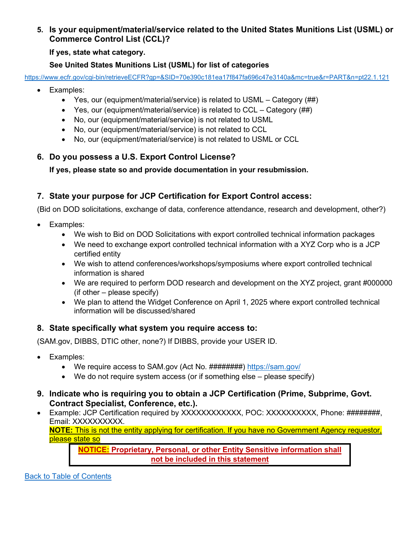**5. Is your equipment/material/service related to the United States Munitions List (USML) or Commerce Control List (CCL)?**

#### **If yes, state what category.**

### **See United States Munitions List (USML) for list of categories**

<https://www.ecfr.gov/cgi-bin/retrieveECFR?gp=&SID=70e390c181ea17f847fa696c47e3140a&mc=true&r=PART&n=pt22.1.121>

- Examples:
	- Yes, our (equipment/material/service) is related to USML Category (##)
	- Yes, our (equipment/material/service) is related to CCL Category (##)
	- No, our (equipment/material/service) is not related to USML
	- No, our (equipment/material/service) is not related to CCL
	- No, our (equipment/material/service) is not related to USML or CCL

## **6. Do you possess a U.S. Export Control License?**

**If yes, please state so and provide documentation in your resubmission.** 

# **7. State your purpose for JCP Certification for Export Control access:**

(Bid on DOD solicitations, exchange of data, conference attendance, research and development, other?)

- Examples:
	- We wish to Bid on DOD Solicitations with export controlled technical information packages
	- We need to exchange export controlled technical information with a XYZ Corp who is a JCP certified entity
	- We wish to attend conferences/workshops/symposiums where export controlled technical information is shared
	- We are required to perform DOD research and development on the XYZ project, grant #000000  $($ if other – please specify $)$
	- We plan to attend the Widget Conference on April 1, 2025 where export controlled technical information will be discussed/shared

### **8. State specifically what system you require access to:**

(SAM.gov, DIBBS, DTIC other, none?) If DIBBS, provide your USER ID.

- Examples:
	- We require access to SAM.gov (Act No. ########)<https://sam.gov/>
	- We do not require system access (or if something else please specify)
- **9. Indicate who is requiring you to obtain a JCP Certification (Prime, Subprime, Govt. Contract Specialist, Conference, etc.).**
- Example: JCP Certification required by XXXXXXXXXXX, POC: XXXXXXXXXX, Phone: #########, Email: XXXXXXXXXX.

**NOTE:** This is not the entity applying for certification. If you have no Government Agency requestor, please state so

**NOTICE: Proprietary, Personal, or other Entity Sensitive information shall not be included in this statement**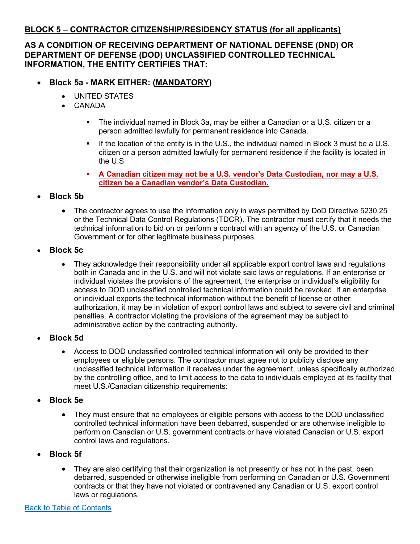### <span id="page-8-0"></span>**BLOCK 5 – CONTRACTOR CITIZENSHIP/RESIDENCY STATUS (for all applicants)**

### **AS A CONDITION OF RECEIVING DEPARTMENT OF NATIONAL DEFENSE (DND) OR DEPARTMENT OF DEFENSE (DOD) UNCLASSIFIED CONTROLLED TECHNICAL INFORMATION, THE ENTITY CERTIFIES THAT:**

# • **Block 5a - MARK EITHER: (MANDATORY)**

- UNITED STATES
- CANADA
	- The individual named in Block 3a, may be either a Canadian or a U.S. citizen or a person admitted lawfully for permanent residence into Canada.
	- **If the location of the entity is in the U.S., the individual named in Block 3 must be a U.S.** citizen or a person admitted lawfully for permanent residence if the facility is located in the U.S
	- **A Canadian citizen may not be a U.S. vendor's Data Custodian, nor may a U.S. citizen be a Canadian vendor's Data Custodian.**
- **Block 5b**
	- The contractor agrees to use the information only in ways permitted by DoD Directive 5230.25 or the Technical Data Control Regulations (TDCR). The contractor must certify that it needs the technical information to bid on or perform a contract with an agency of the U.S. or Canadian Government or for other legitimate business purposes.
- **Block 5c**
	- They acknowledge their responsibility under all applicable export control laws and regulations both in Canada and in the U.S. and will not violate said laws or regulations. If an enterprise or individual violates the provisions of the agreement, the enterprise or individual's eligibility for access to DOD unclassified controlled technical information could be revoked. If an enterprise or individual exports the technical information without the benefit of license or other authorization, it may be in violation of export control laws and subject to severe civil and criminal penalties. A contractor violating the provisions of the agreement may be subject to administrative action by the contracting authority.
- **Block 5d**
	- Access to DOD unclassified controlled technical information will only be provided to their employees or eligible persons. The contractor must agree not to publicly disclose any unclassified technical information it receives under the agreement, unless specifically authorized by the controlling office, and to limit access to the data to individuals employed at its facility that meet U.S./Canadian citizenship requirements:
- **Block 5e**
	- They must ensure that no employees or eligible persons with access to the DOD unclassified controlled technical information have been debarred, suspended or are otherwise ineligible to perform on Canadian or U.S. government contracts or have violated Canadian or U.S. export control laws and regulations.
- **Block 5f**
	- They are also certifying that their organization is not presently or has not in the past, been debarred, suspended or otherwise ineligible from performing on Canadian or U.S. Government contracts or that they have not violated or contravened any Canadian or U.S. export control laws or regulations.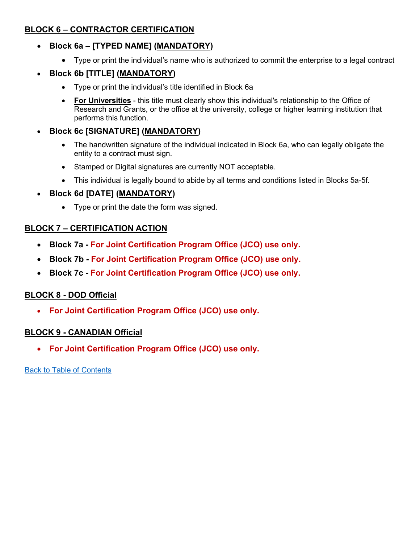## <span id="page-9-0"></span>**BLOCK 6 – CONTRACTOR CERTIFICATION**

- **Block 6a – [TYPED NAME] (MANDATORY)**
	- Type or print the individual's name who is authorized to commit the enterprise to a legal contract

# • **Block 6b [TITLE] (MANDATORY)**

- Type or print the individual's title identified in Block 6a
- **For Universities** this title must clearly show this individual's relationship to the Office of Research and Grants, or the office at the university, college or higher learning institution that performs this function.

# • **Block 6c [SIGNATURE] (MANDATORY)**

- The handwritten signature of the individual indicated in Block 6a, who can legally obligate the entity to a contract must sign.
- Stamped or Digital signatures are currently NOT acceptable.
- This individual is legally bound to abide by all terms and conditions listed in Blocks 5a-5f.
- **Block 6d [DATE] (MANDATORY)**
	- Type or print the date the form was signed.

# <span id="page-9-1"></span>**BLOCK 7 – CERTIFICATION ACTION**

- **Block 7a - For Joint Certification Program Office (JCO) use only.**
- **Block 7b - For Joint Certification Program Office (JCO) use only.**
- **Block 7c - For Joint Certification Program Office (JCO) use only.**

# **BLOCK 8 - DOD Official**

• **For Joint Certification Program Office (JCO) use only.**

# **BLOCK 9 - CANADIAN Official**

• **For Joint Certification Program Office (JCO) use only.**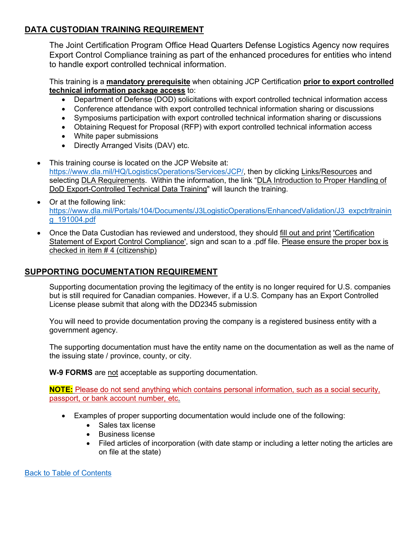## <span id="page-10-0"></span>**DATA CUSTODIAN TRAINING REQUIREMENT**

The Joint Certification Program Office Head Quarters Defense Logistics Agency now requires Export Control Compliance training as part of the enhanced procedures for entities who intend to handle export controlled technical information.

This training is a **mandatory prerequisite** when obtaining JCP Certification **prior to export controlled technical information package access** to:

- Department of Defense (DOD) solicitations with export controlled technical information access
- Conference attendance with export controlled technical information sharing or discussions
- Symposiums participation with export controlled technical information sharing or discussions
- Obtaining Request for Proposal (RFP) with export controlled technical information access
- White paper submissions
- Directly Arranged Visits (DAV) etc.
- This training course is located on the JCP Website at: [https://www.dla.mil/HQ/LogisticsOperations/Services/JCP/,](https://www.dla.mil/HQ/LogisticsOperations/Services/JCP/) then by clicking Links/Resources and selecting DLA Requirements. Within the information, the link "DLA Introduction to Proper Handling of DoD Export-Controlled Technical Data Training" will launch the training.
- Or at the following link: [https://www.dla.mil/Portals/104/Documents/J3LogisticOperations/EnhancedValidation/J3\\_expctrltrainin](https://www.dla.mil/Portals/104/Documents/J3LogisticOperations/EnhancedValidation/J3_expctrltraining_191004.pdf) [g\\_191004.pdf](https://www.dla.mil/Portals/104/Documents/J3LogisticOperations/EnhancedValidation/J3_expctrltraining_191004.pdf)
- Once the Data Custodian has reviewed and understood, they should fill out and print 'Certification Statement of Export Control Compliance', sign and scan to a .pdf file. Please ensure the proper box is checked in item # 4 (citizenship)

### **SUPPORTING DOCUMENTATION REQUIREMENT**

Supporting documentation proving the legitimacy of the entity is no longer required for U.S. companies but is still required for Canadian companies. However, if a U.S. Company has an Export Controlled License please submit that along with the DD2345 submission

You will need to provide documentation proving the company is a registered business entity with a government agency.

The supporting documentation must have the entity name on the documentation as well as the name of the issuing state / province, county, or city.

**W-9 FORMS** are not acceptable as supporting documentation.

**NOTE:** Please do not send anything which contains personal information, such as a social security, passport, or bank account number, etc.

- Examples of proper supporting documentation would include one of the following:
	- Sales tax license
	- Business license
	- Filed articles of incorporation (with date stamp or including a letter noting the articles are on file at the state)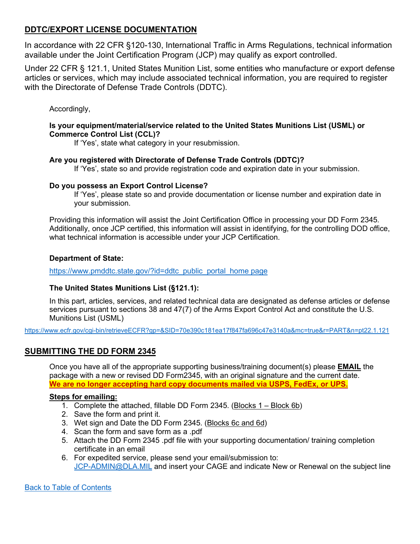### <span id="page-11-0"></span>**DDTC/EXPORT LICENSE DOCUMENTATION**

In accordance with 22 CFR §120-130, International Traffic in Arms Regulations, technical information available under the Joint Certification Program (JCP) may qualify as export controlled.

Under 22 CFR § 121.1, United States Munition List, some entities who manufacture or export defense articles or services, which may include associated technical information, you are required to register with the Directorate of Defense Trade Controls (DDTC).

Accordingly,

#### **Is your equipment/material/service related to the United States Munitions List (USML) or Commerce Control List (CCL)?**

If 'Yes', state what category in your resubmission.

#### **Are you registered with Directorate of Defense Trade Controls (DDTC)?**

If 'Yes', state so and provide registration code and expiration date in your submission.

#### **Do you possess an Export Control License?**

If 'Yes', please state so and provide documentation or license number and expiration date in your submission.

Providing this information will assist the Joint Certification Office in processing your DD Form 2345. Additionally, once JCP certified, this information will assist in identifying, for the controlling DOD office, what technical information is accessible under your JCP Certification.

#### **Department of State:**

[https://www.pmddtc.state.gov/?id=ddtc\\_public\\_portal\\_home page](https://www.pmddtc.state.gov/?id=ddtc_public_portal_home%20page)

#### **The United States Munitions List (§121.1):**

In this part, articles, services, and related technical data are designated as defense articles or defense services pursuant to sections 38 and 47(7) of the Arms Export Control Act and constitute the U.S. Munitions List (USML)

<https://www.ecfr.gov/cgi-bin/retrieveECFR?gp=&SID=70e390c181ea17f847fa696c47e3140a&mc=true&r=PART&n=pt22.1.121>

### <span id="page-11-1"></span>**SUBMITTING THE DD FORM 2345**

Once you have all of the appropriate supporting business/training document(s) please **EMAIL** the package with a new or revised DD Form2345, with an original signature and the current date. **We are no longer accepting hard copy documents mailed via USPS, FedEx, or UPS.**

#### **Steps for emailing:**

- 1. Complete the attached, fillable DD Form 2345. (Blocks 1 Block 6b)
- 2. Save the form and print it.
- 3. Wet sign and Date the DD Form 2345. (Blocks 6c and 6d)
- 4. Scan the form and save form as a .pdf
- 5. Attach the DD Form 2345 .pdf file with your supporting documentation/ training completion certificate in an email
- 6. For expedited service, please send your email/submission to: [JCP-ADMIN@DLA.MIL](mailto:JCP-ADMIN@DLA.MIL) and insert your CAGE and indicate New or Renewal on the subject line